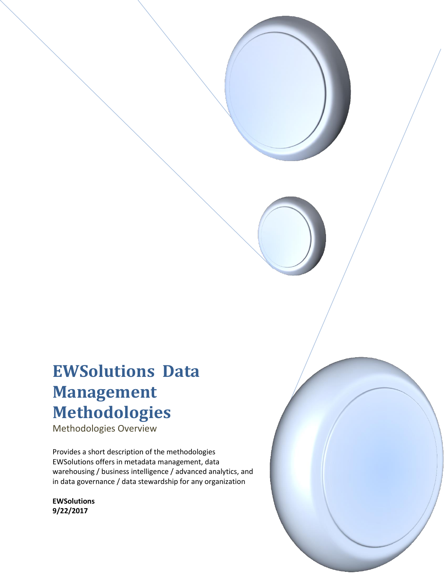# **EWSolutions Data Management Methodologies**

Methodologies Overview

Provides a short description of the methodologies EWSolutions offers in metadata management, data warehousing / business intelligence / advanced analytics, and in data governance / data stewardship for any organization

**EWSolutions 9/22/2017**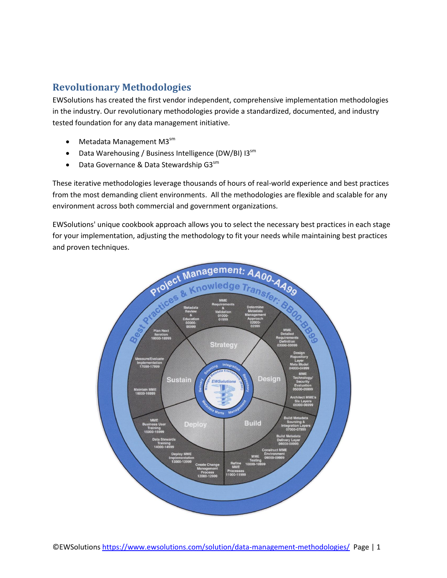## **Revolutionary Methodologies**

EWSolutions has created the first vendor independent, comprehensive implementation methodologies in the industry. Our revolutionary methodologies provide a standardized, documented, and industry tested foundation for any data management initiative.

- Metadata Management M3<sup>sm</sup>
- Data Warehousing / Business Intelligence (DW/BI) I3sm
- $\bullet$  Data Governance & Data Stewardship G3 $\text{sm}$

These iterative methodologies leverage thousands of hours of real-world experience and best practices from the most demanding client environments. All the methodologies are flexible and scalable for any environment across both commercial and government organizations.

EWSolutions' unique cookbook approach allows you to select the necessary best practices in each stage for your implementation, adjusting the methodology to fit your needs while maintaining best practices and proven techniques.

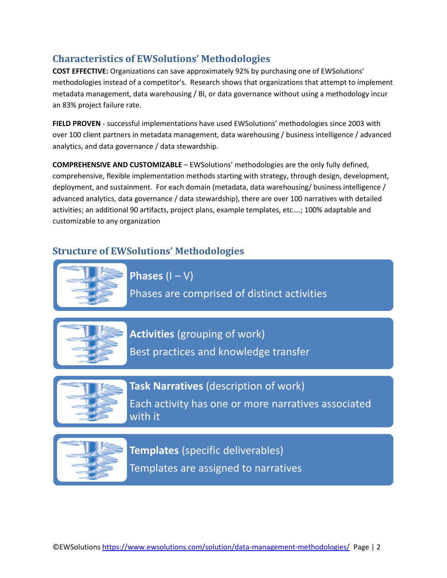## **Characteristics of EWSolutions' Methodologies**

**COST EFFECTIVE:** Organizations can save approximately 92% by purchasing one of EWSolutions' methodologies instead of a competitor's. Research shows that organizations that attempt to implement metadata management, data warehousing / BI, or data governance without using a methodology incur an 83% project failure rate.

**FIELD PROVEN** - successful implementations have used EWSolutions' methodologies since 2003 with over 100 client partners in metadata management, data warehousing / business intelligence / advanced analytics, and data governance / data stewardship.

**COMPREHENSIVE AND CUSTOMIZABLE** – EWSolutions' methodologies are the only fully defined, comprehensive, flexible implementation methods starting with strategy, through design, development, deployment, and sustainment. For each domain (metadata, data warehousing/ business intelligence / advanced analytics, data governance / data stewardship), there are over 100 narratives with detailed activities; an additional 90 artifacts, project plans, example templates, etc.…; 100% adaptable and customizable to any organization

#### **Structure of EWSolutions' Methodologies**



**Phases**  $(I - V)$ Phases are comprised of distinct activities



**Activities** (grouping of work) Best practices and knowledge transfer



**Task Narratives** (description of work)

Each activity has one or more narratives associated with it



**Templates** (specific deliverables) Templates are assigned to narratives